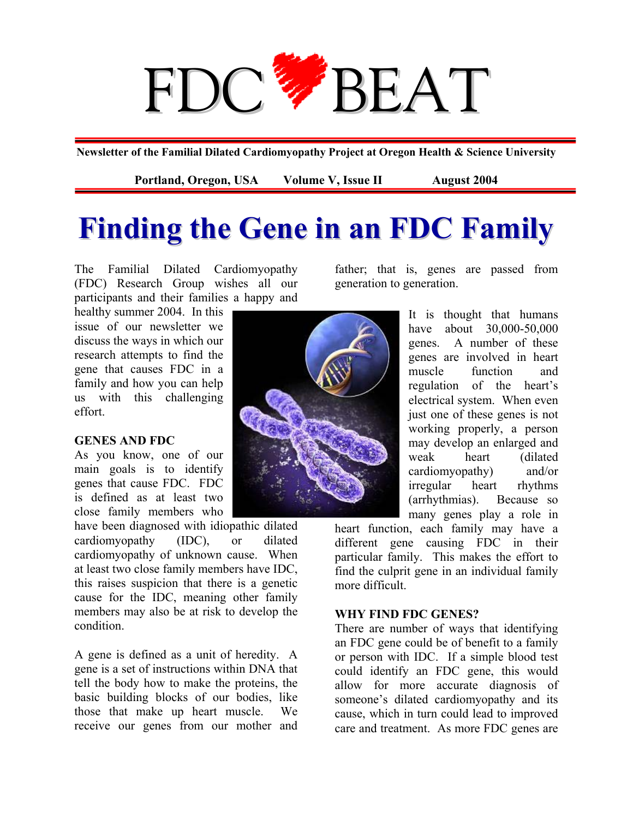# FDC<sup>2</sup>/BEAT

**Newsletter of the Familial Dilated Cardiomyopathy Project at Oregon Health & Science University** 

Portland, Oregon, USA Volume V, Issue II August 2004

## **Finding the Gene in an FDC Family**

The Familial Dilated Cardiomyopathy (FDC) Research Group wishes all our participants and their families a happy and

healthy summer 2004. In this issue of our newsletter we discuss the ways in which our research attempts to find the gene that causes FDC in a family and how you can help us with this challenging effort.

### **GENES AND FDC**

As you know, one of our main goals is to identify genes that cause FDC. FDC is defined as at least two close family members who

have been diagnosed with idiopathic dilated cardiomyopathy (IDC), or dilated cardiomyopathy of unknown cause. When at least two close family members have IDC, this raises suspicion that there is a genetic cause for the IDC, meaning other family members may also be at risk to develop the condition.

A gene is defined as a unit of heredity. A gene is a set of instructions within DNA that tell the body how to make the proteins, the basic building blocks of our bodies, like those that make up heart muscle. We receive our genes from our mother and



father; that is, genes are passed from generation to generation.

> It is thought that humans have about 30,000-50,000 genes. A number of these genes are involved in heart muscle function and regulation of the heart's electrical system. When even just one of these genes is not working properly, a person may develop an enlarged and weak heart (dilated cardiomyopathy) and/or irregular heart rhythms (arrhythmias). Because so many genes play a role in

heart function, each family may have a different gene causing FDC in their particular family. This makes the effort to find the culprit gene in an individual family more difficult.

## **WHY FIND FDC GENES?**

There are number of ways that identifying an FDC gene could be of benefit to a family or person with IDC. If a simple blood test could identify an FDC gene, this would allow for more accurate diagnosis of someone's dilated cardiomyopathy and its cause, which in turn could lead to improved care and treatment. As more FDC genes are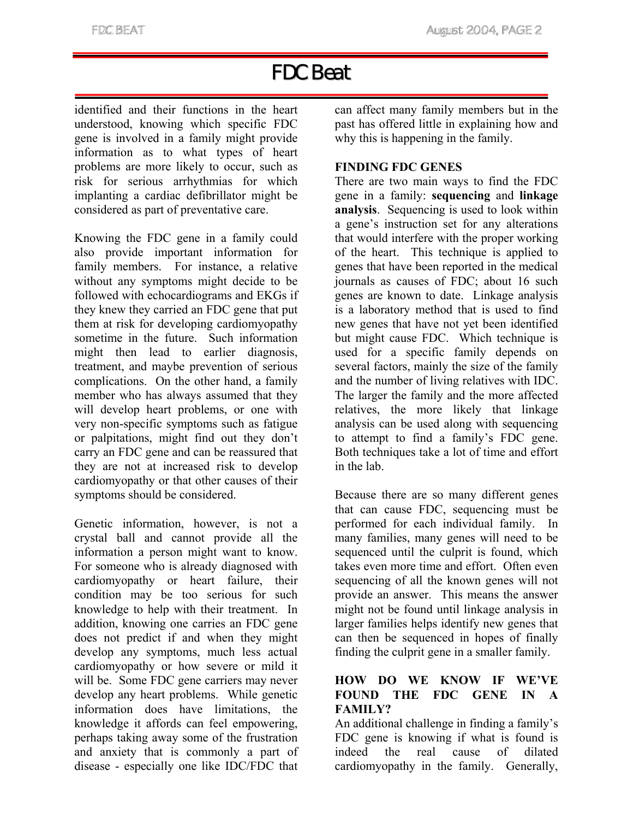## FDC Beat

identified and their functions in the heart understood, knowing which specific FDC gene is involved in a family might provide information as to what types of heart problems are more likely to occur, such as risk for serious arrhythmias for which implanting a cardiac defibrillator might be considered as part of preventative care.

Knowing the FDC gene in a family could also provide important information for family members. For instance, a relative without any symptoms might decide to be followed with echocardiograms and EKGs if they knew they carried an FDC gene that put them at risk for developing cardiomyopathy sometime in the future. Such information might then lead to earlier diagnosis, treatment, and maybe prevention of serious complications. On the other hand, a family member who has always assumed that they will develop heart problems, or one with very non-specific symptoms such as fatigue or palpitations, might find out they don't carry an FDC gene and can be reassured that they are not at increased risk to develop cardiomyopathy or that other causes of their symptoms should be considered.

Genetic information, however, is not a crystal ball and cannot provide all the information a person might want to know. For someone who is already diagnosed with cardiomyopathy or heart failure, their condition may be too serious for such knowledge to help with their treatment. In addition, knowing one carries an FDC gene does not predict if and when they might develop any symptoms, much less actual cardiomyopathy or how severe or mild it will be. Some FDC gene carriers may never develop any heart problems. While genetic information does have limitations, the knowledge it affords can feel empowering, perhaps taking away some of the frustration and anxiety that is commonly a part of disease - especially one like IDC/FDC that

can affect many family members but in the past has offered little in explaining how and why this is happening in the family.

## **FINDING FDC GENES**

There are two main ways to find the FDC gene in a family: **sequencing** and **linkage analysis**. Sequencing is used to look within a gene's instruction set for any alterations that would interfere with the proper working of the heart. This technique is applied to genes that have been reported in the medical journals as causes of FDC; about 16 such genes are known to date. Linkage analysis is a laboratory method that is used to find new genes that have not yet been identified but might cause FDC. Which technique is used for a specific family depends on several factors, mainly the size of the family and the number of living relatives with IDC. The larger the family and the more affected relatives, the more likely that linkage analysis can be used along with sequencing to attempt to find a family's FDC gene. Both techniques take a lot of time and effort in the lab.

Because there are so many different genes that can cause FDC, sequencing must be performed for each individual family. In many families, many genes will need to be sequenced until the culprit is found, which takes even more time and effort. Often even sequencing of all the known genes will not provide an answer. This means the answer might not be found until linkage analysis in larger families helps identify new genes that can then be sequenced in hopes of finally finding the culprit gene in a smaller family.

### **HOW DO WE KNOW IF WE'VE FOUND THE FDC GENE IN A FAMILY?**

An additional challenge in finding a family's FDC gene is knowing if what is found is indeed the real cause of dilated cardiomyopathy in the family. Generally,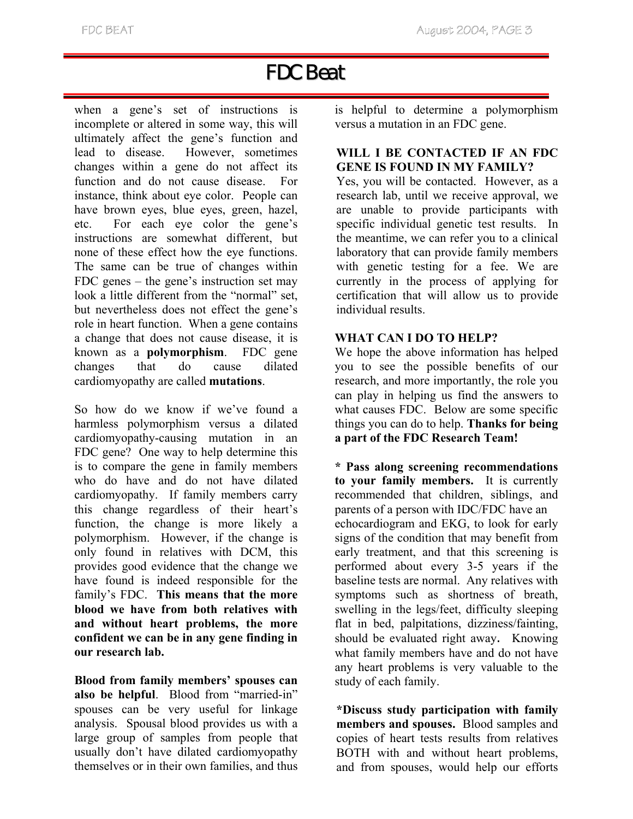## FDC Beat

when a gene's set of instructions is incomplete or altered in some way, this will ultimately affect the gene's function and lead to disease. However, sometimes changes within a gene do not affect its function and do not cause disease. For instance, think about eye color. People can have brown eyes, blue eyes, green, hazel, etc. For each eye color the gene's instructions are somewhat different, but none of these effect how the eye functions. The same can be true of changes within FDC genes – the gene's instruction set may look a little different from the "normal" set, but nevertheless does not effect the gene's role in heart function. When a gene contains a change that does not cause disease, it is known as a **polymorphism**. FDC gene changes that do cause dilated cardiomyopathy are called **mutations**.

So how do we know if we've found a harmless polymorphism versus a dilated cardiomyopathy-causing mutation in an FDC gene? One way to help determine this is to compare the gene in family members who do have and do not have dilated cardiomyopathy. If family members carry this change regardless of their heart's function, the change is more likely a polymorphism. However, if the change is only found in relatives with DCM, this provides good evidence that the change we have found is indeed responsible for the family's FDC. **This means that the more blood we have from both relatives with and without heart problems, the more confident we can be in any gene finding in our research lab.** 

**Blood from family members' spouses can also be helpful**. Blood from "married-in" spouses can be very useful for linkage analysis. Spousal blood provides us with a large group of samples from people that usually don't have dilated cardiomyopathy themselves or in their own families, and thus

is helpful to determine a polymorphism versus a mutation in an FDC gene.

## **WILL I BE CONTACTED IF AN FDC GENE IS FOUND IN MY FAMILY?**

Yes, you will be contacted. However, as a research lab, until we receive approval, we are unable to provide participants with specific individual genetic test results. In the meantime, we can refer you to a clinical laboratory that can provide family members with genetic testing for a fee. We are currently in the process of applying for certification that will allow us to provide individual results.

## **WHAT CAN I DO TO HELP?**

We hope the above information has helped you to see the possible benefits of our research, and more importantly, the role you can play in helping us find the answers to what causes FDC. Below are some specific things you can do to help. **Thanks for being a part of the FDC Research Team!**

**\* Pass along screening recommendations to your family members.** It is currently recommended that children, siblings, and parents of a person with IDC/FDC have an echocardiogram and EKG, to look for early signs of the condition that may benefit from early treatment, and that this screening is performed about every 3-5 years if the baseline tests are normal. Any relatives with symptoms such as shortness of breath, swelling in the legs/feet, difficulty sleeping flat in bed, palpitations, dizziness/fainting, should be evaluated right away. Knowing what family members have and do not have any heart problems is very valuable to the study of each family.

**\*Discuss study participation with family members and spouses.** Blood samples and copies of heart tests results from relatives BOTH with and without heart problems, and from spouses, would help our efforts